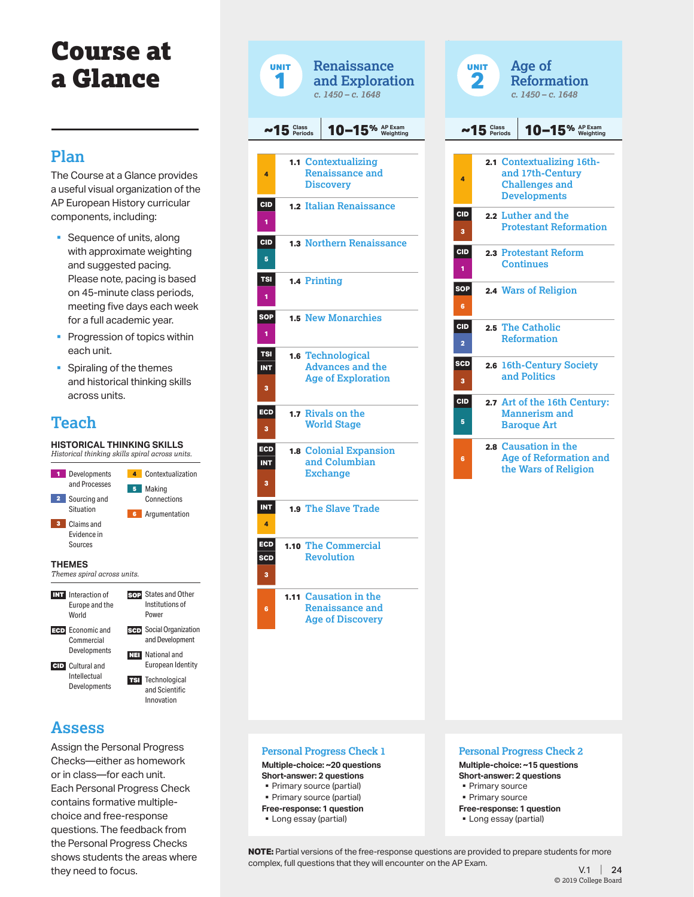# Course at a Glance

### **Plan**

The Course at a Glance provides a useful visual organization of the AP European History curricular components, including:

- Sequence of units, along with approximate weighting and suggested pacing. Please note, pacing is based on 45-minute class periods, meeting five days each week for a full academic year.
- **Progression of topics within** each unit.
- § Spiraling of the themes and historical thinking skills across units.

### **Teach**

**HISTORICAL THINKING SKILLS** *Historical thinking skills spiral across units.* 1 Developments and Processes **2** Sourcing and Situation 3 Claims and Evidence in Sources 4 Contextualization 5 Making **Connections** 6 Argumentation **THEMES** *Themes spiral across units.* INT Interaction of Europe and the **World** ECD Economic and **Commercial** Developments CID Cultural and Intellectual **Developments** SOP States and Other Institutions of Power **SCD** Social Organization and Development NEI National and European Identity **TSI** Technological and Scientific Innovation

### **Assess**

Assign the Personal Progress Checks—either as homework or in class—for each unit. Each Personal Progress Check contains formative multiplechoice and free-response questions. The feedback from the Personal Progress Checks shows students the areas where they need to focus.



**Personal Progress Check 1 Multiple-choice: ~20 questions Short-answer: 2 questions**

**Free-response: 1 question**<br>**Example 1** Long essay (partial)

• Primary source (partial)

|                 | $~15$ $Class$ | 10-15% AP Exam                                                                                |  |
|-----------------|---------------|-----------------------------------------------------------------------------------------------|--|
| 4               |               | 2.1 Contextualizing 16th-<br>and 17th-Century<br><b>Challenges and</b><br><b>Developments</b> |  |
| <b>CID</b><br>3 |               | 2.2 Luther and the<br><b>Protestant Reformation</b>                                           |  |
| <b>CID</b><br>1 |               | 2.3 Protestant Reform<br><b>Continues</b>                                                     |  |
| <b>SOP</b><br>6 |               | 2.4 Wars of Religion                                                                          |  |
| <b>CID</b><br>2 |               | 2.5 The Catholic<br><b>Reformation</b>                                                        |  |
| <b>SCD</b><br>з |               | 2.6 16th-Century Society<br>and Politics                                                      |  |
| <b>CID</b><br>5 |               | 2.7 Art of the 16th Century:<br><b>Mannerism and</b><br><b>Baroque Art</b>                    |  |
| 6               |               | 2.8 Causation in the<br><b>Age of Reformation and</b><br>the Wars of Religion                 |  |
|                 |               |                                                                                               |  |
|                 |               |                                                                                               |  |
|                 |               |                                                                                               |  |
|                 |               |                                                                                               |  |
|                 |               |                                                                                               |  |
|                 |               |                                                                                               |  |

**Multiple-choice: ~15 questions Short-answer: 2 questions** § Primary source

- § Primary source
- **Free-response: 1 question** § Long essay (partial)

**NOTE:** Partial versions of the free-response questions are provided to prepare students for more complex, full questions that they will encounter on the AP Exam.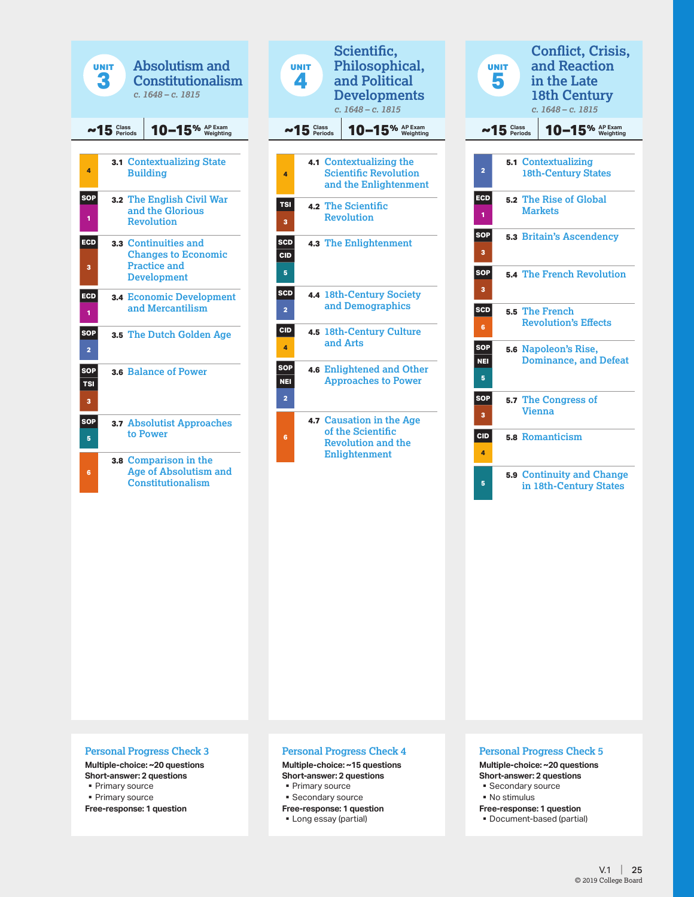



| <b>UNIT</b>                   |                       | <b>Conflict, Crisis,</b><br>and Reaction<br>in the Late<br>18th Century<br>$c. 1648 - c. 1815$ |
|-------------------------------|-----------------------|------------------------------------------------------------------------------------------------|
|                               | $-15$ $Class$ Periods | 10-15% AP Exam                                                                                 |
| $\overline{a}$                |                       | 5.1 Contextualizing<br><b>18th-Century States</b>                                              |
| ECD<br>1                      |                       | 5.2 The Rise of Global<br><b>Markets</b>                                                       |
| <b>SOP</b><br>3               |                       | <b>5.3 Britain's Ascendency</b>                                                                |
| <b>SOP</b><br>3               |                       | <b>5.4 The French Revolution</b>                                                               |
| <b>SCD</b><br>6               |                       | 5.5 The French<br><b>Revolution's Effects</b>                                                  |
| <b>SOP</b><br><b>NEI</b><br>5 |                       | 5.6 Napoleon's Rise,<br><b>Dominance, and Defeat</b>                                           |
| <b>SOP</b><br>3               |                       | 5.7 The Congress of<br><b>Vienna</b>                                                           |
| <b>CID</b><br>4               |                       | 5.8 Romanticism                                                                                |
| 5                             |                       | <b>5.9 Continuity and Change</b><br>in 18th-Century States                                     |

#### **Personal Progress Check 3**

**Multiple-choice: ~20 questions Short-answer: 2 questions** § Primary source

§ Primary source

**Free-response: 1 question**

#### **Personal Progress Check 4**

**Multiple-choice: ~15 questions Short-answer: 2 questions**

- § Primary source
- § Secondary source
- **Free-response: 1 question**
- § Long essay (partial)

#### **Personal Progress Check 5**

**Multiple-choice: ~20 questions Short-answer: 2 questions** § Secondary source

- § No stimulus
- 
- **Free-response: 1 question** § Document-based (partial)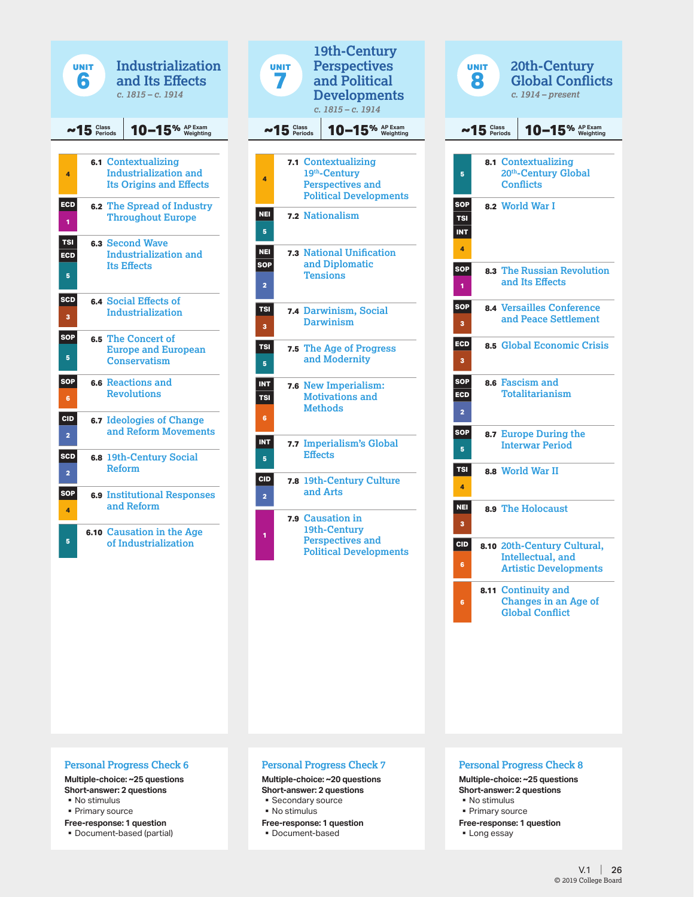|                              | <b>UNIT</b><br>R | <b>Industrialization</b><br>and Its Effects<br>c. 1815 – c. 1914                             |
|------------------------------|------------------|----------------------------------------------------------------------------------------------|
|                              | $~15$ $Class$    | $10-15%$ $\frac{\text{AP Exam}}{\text{Weighting}}$                                           |
| 4                            |                  | <b>6.1 Contextualizing</b><br><b>Industrialization and</b><br><b>Its Origins and Effects</b> |
| ECD<br>1                     |                  | <b>6.2 The Spread of Industry</b><br><b>Throughout Europe</b>                                |
| <b>TSI</b><br>ECD<br>5       |                  | 6.3 Second Wave<br><b>Industrialization and</b><br><b>Its Effects</b>                        |
| <b>SCD</b><br>3              |                  | 6.4 Social Effects of<br>Industrialization                                                   |
| SOP<br>5                     |                  | 6.5 The Concert of<br><b>Europe and European</b><br><b>Conservatism</b>                      |
| <b>SOP</b><br>6              |                  | 6.6 Reactions and<br><b>Revolutions</b>                                                      |
| <b>CID</b><br>$\overline{a}$ |                  | <b>6.7 Ideologies of Change</b><br>and Reform Movements                                      |
| SCD<br>2                     |                  | 6.8 19th-Century Social<br><b>Reform</b>                                                     |
| <b>SOP</b><br>4              | 6.9              | <b>Institutional Responses</b><br>and Reform                                                 |
| 5                            |                  | <b>6.10 Causation in the Age</b><br>of Industrialization                                     |

| 19th-Century<br><b>Perspectives</b><br><b>UNIT</b><br>and Political |                                 |                                                                     |                                                                                                 |  |  |
|---------------------------------------------------------------------|---------------------------------|---------------------------------------------------------------------|-------------------------------------------------------------------------------------------------|--|--|
|                                                                     |                                 |                                                                     | <b>Developments</b><br>$c. 1815 - c. 1914$                                                      |  |  |
|                                                                     | 10-15% AP Exam<br>$~15$ $Class$ |                                                                     |                                                                                                 |  |  |
|                                                                     |                                 |                                                                     |                                                                                                 |  |  |
| 4                                                                   |                                 |                                                                     | 7.1 Contextualizing<br>19th-Century<br><b>Perspectives and</b><br><b>Political Developments</b> |  |  |
| <b>NEI</b><br>5                                                     |                                 |                                                                     | 7.2 Nationalism                                                                                 |  |  |
| <b>NEI</b><br><b>SOP</b><br>$\overline{a}$                          | 7.3                             |                                                                     | <b>National Unification</b><br>and Diplomatic<br>Tensions                                       |  |  |
| <b>TSI</b><br>3                                                     |                                 |                                                                     | 7.4 Darwinism, Social<br><b>Darwinism</b>                                                       |  |  |
| <b>TSI</b><br>5                                                     |                                 | 7.5 The Age of Progress<br>and Modernity                            |                                                                                                 |  |  |
| INT<br><b>TSI</b><br>6                                              | 7.6                             | <b>New Imperialism:</b><br><b>Motivations and</b><br><b>Methods</b> |                                                                                                 |  |  |
| <b>INT</b><br>5                                                     |                                 | <b>Effects</b>                                                      | 7.7 Imperialism's Global                                                                        |  |  |
| <b>CID</b><br>$\overline{\mathbf{c}}$                               | 7.8                             |                                                                     | <b>19th-Century Culture</b><br>and Arts                                                         |  |  |
| 1                                                                   | 7.9                             |                                                                     | <b>Causation in</b><br>19th-Century<br><b>Perspectives and</b><br><b>Political Developments</b> |  |  |

|                                             | <b>UNIT</b><br>Я                                                    |  | 20th-Century<br><b>Global Conflicts</b><br>$c. 1914 - present$                           |
|---------------------------------------------|---------------------------------------------------------------------|--|------------------------------------------------------------------------------------------|
|                                             | $~15$ $Class$<br>$10-15%$ $\frac{\text{AP Exam}}{\text{Weighting}}$ |  |                                                                                          |
| 5                                           |                                                                     |  | 8.1 Contextualizing<br>20th-Century Global<br><b>Conflicts</b>                           |
| <b>SOP</b><br><b>TSI</b><br><b>INT</b><br>4 |                                                                     |  | 8.2 World War I                                                                          |
| <b>SOP</b><br>1                             |                                                                     |  | 8.3 The Russian Revolution<br>and Its Effects                                            |
| SOP<br>з                                    |                                                                     |  | <b>8.4 Versailles Conference</b><br>and Peace Settlement                                 |
| ECD<br>3                                    |                                                                     |  | 8.5 Global Economic Crisis                                                               |
| SOP<br>ECD<br>$\overline{\mathbf{c}}$       |                                                                     |  | 8.6 Fascism and<br><b>Totalitarianism</b>                                                |
| SOP<br>5                                    | 8.7                                                                 |  | <b>Europe During the</b><br><b>Interwar Period</b>                                       |
| TSI<br>4                                    |                                                                     |  | 8.8 World War II                                                                         |
| <b>NEI</b><br>3                             |                                                                     |  | 8.9 The Holocaust                                                                        |
| <b>CID</b><br>6                             |                                                                     |  | 8.10 20th-Century Cultural,<br><b>Intellectual</b> , and<br><b>Artistic Developments</b> |
| 6                                           | 8.11                                                                |  | <b>Continuity and</b><br><b>Changes in an Age of</b><br><b>Global Conflict</b>           |

#### **Personal Progress Check 6**

#### **Multiple-choice: ~25 questions**

**Short-answer: 2 questions**

- § No stimulus
- § Primary source
- **Free-response: 1 question**
- Document-based (partial)

#### **Personal Progress Check 7**

#### **Multiple-choice: ~20 questions**

#### **Short-answer: 2 questions**

- § Secondary source
- § No stimulus
- **Free-response: 1 question** ■ Document-based

#### **Personal Progress Check 8**

#### **Multiple-choice: ~25 questions Short-answer: 2 questions**

- § No stimulus
- § Primary source
- **Free-response: 1 question**
- Long essay